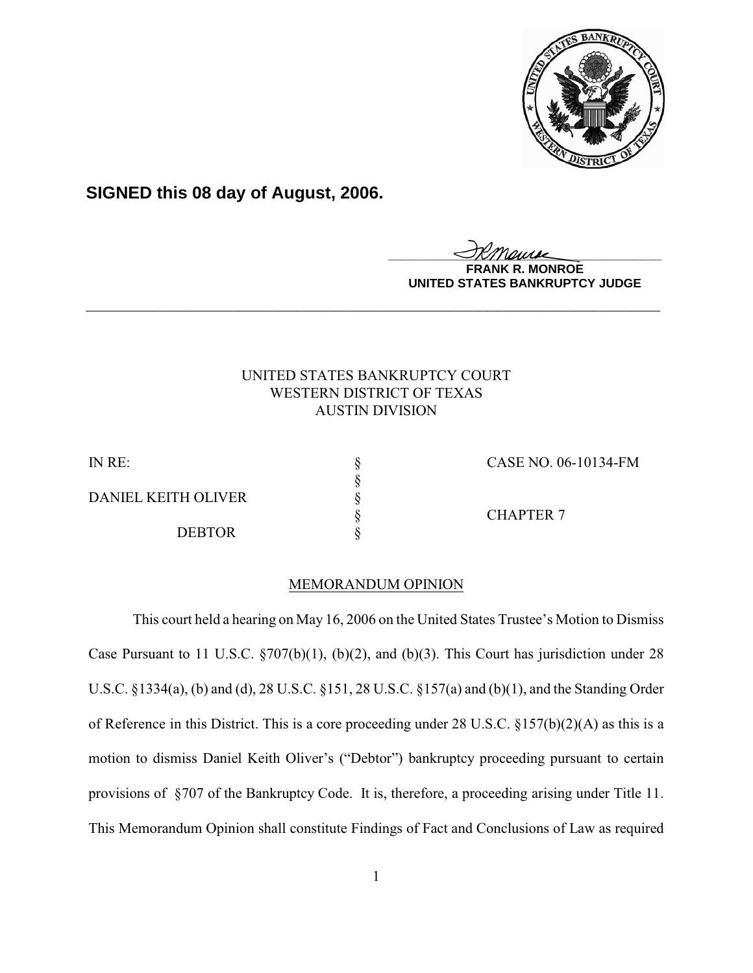

# **SIGNED this 08 day of August, 2006.**

<u>IKThemse</u>

**MONROE UNITED STATES BANKRUPTCY JUDGE**

## UNITED STATES BANKRUPTCY COURT WESTERN DISTRICT OF TEXAS AUSTIN DIVISION

**\_\_\_\_\_\_\_\_\_\_\_\_\_\_\_\_\_\_\_\_\_\_\_\_\_\_\_\_\_\_\_\_\_\_\_\_\_\_\_\_\_\_\_\_\_\_\_\_\_\_\_\_\_\_\_\_\_\_\_\_**

IN RE: § CASE NO. 06-10134-FM DANIEL KEITH OLIVER **DEBTOR** 

§ CHAPTER 7

### MEMORANDUM OPINION

§<br>§<br>§<br>§

This court held a hearing on May 16, 2006 on the United States Trustee's Motion to Dismiss Case Pursuant to 11 U.S.C. §707(b)(1), (b)(2), and (b)(3). This Court has jurisdiction under 28 U.S.C. §1334(a), (b) and (d), 28 U.S.C. §151, 28 U.S.C. §157(a) and (b)(1), and the Standing Order of Reference in this District. This is a core proceeding under 28 U.S.C. §157(b)(2)(A) as this is a motion to dismiss Daniel Keith Oliver's ("Debtor") bankruptcy proceeding pursuant to certain provisions of §707 of the Bankruptcy Code. It is, therefore, a proceeding arising under Title 11. This Memorandum Opinion shall constitute Findings of Fact and Conclusions of Law as required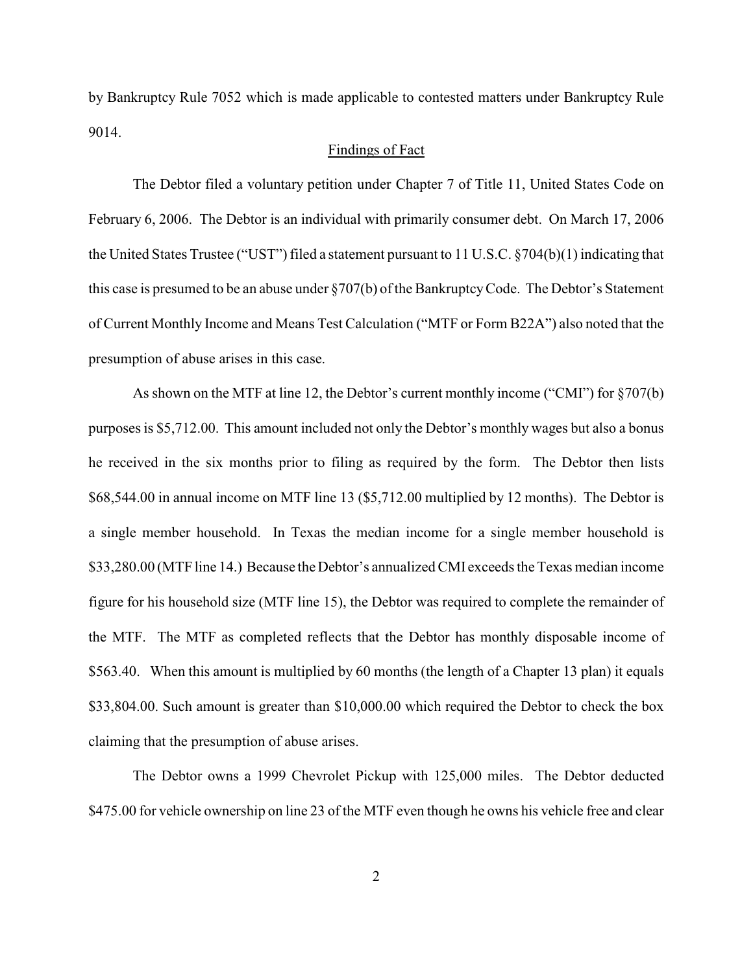by Bankruptcy Rule 7052 which is made applicable to contested matters under Bankruptcy Rule 9014.

#### Findings of Fact

The Debtor filed a voluntary petition under Chapter 7 of Title 11, United States Code on February 6, 2006. The Debtor is an individual with primarily consumer debt. On March 17, 2006 the United States Trustee ("UST") filed a statement pursuant to 11 U.S.C. §704(b)(1) indicating that this case is presumed to be an abuse under §707(b) of the Bankruptcy Code. The Debtor's Statement of Current Monthly Income and Means Test Calculation ("MTF or Form B22A") also noted that the presumption of abuse arises in this case.

As shown on the MTF at line 12, the Debtor's current monthly income ("CMI") for §707(b) purposes is \$5,712.00. This amount included not only the Debtor's monthly wages but also a bonus he received in the six months prior to filing as required by the form. The Debtor then lists \$68,544.00 in annual income on MTF line 13 (\$5,712.00 multiplied by 12 months). The Debtor is a single member household. In Texas the median income for a single member household is \$33,280.00 (MTF line 14.) Because the Debtor's annualized CMI exceeds the Texas median income figure for his household size (MTF line 15), the Debtor was required to complete the remainder of the MTF. The MTF as completed reflects that the Debtor has monthly disposable income of \$563.40. When this amount is multiplied by 60 months (the length of a Chapter 13 plan) it equals \$33,804.00. Such amount is greater than \$10,000.00 which required the Debtor to check the box claiming that the presumption of abuse arises.

The Debtor owns a 1999 Chevrolet Pickup with 125,000 miles. The Debtor deducted \$475.00 for vehicle ownership on line 23 of the MTF even though he owns his vehicle free and clear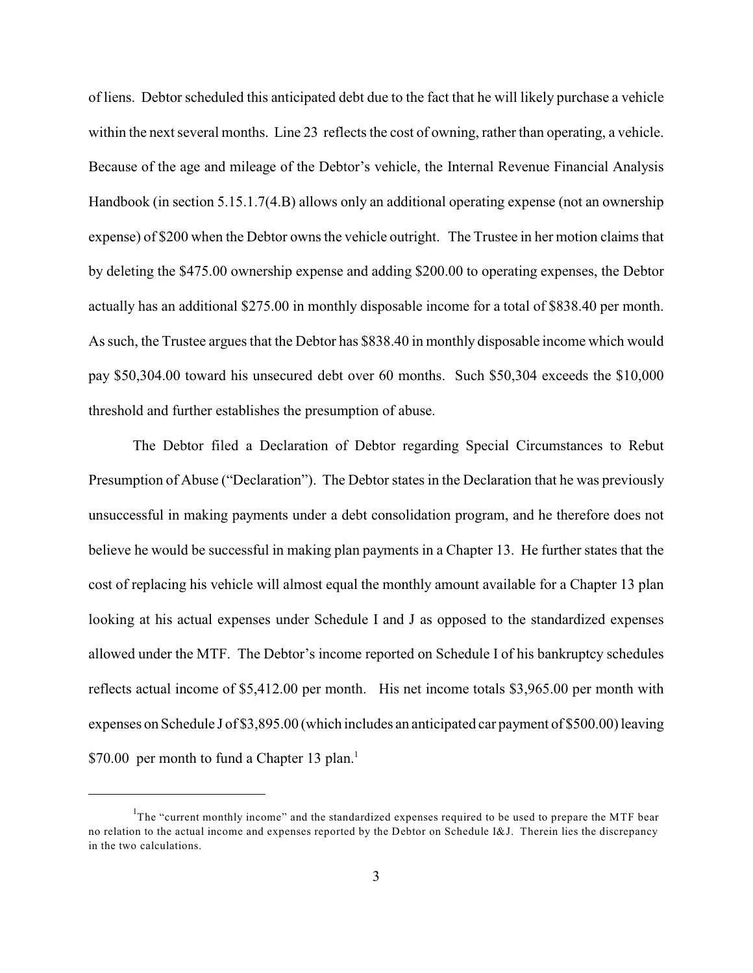of liens. Debtor scheduled this anticipated debt due to the fact that he will likely purchase a vehicle within the next several months. Line 23 reflects the cost of owning, rather than operating, a vehicle. Because of the age and mileage of the Debtor's vehicle, the Internal Revenue Financial Analysis Handbook (in section 5.15.1.7(4.B) allows only an additional operating expense (not an ownership expense) of \$200 when the Debtor owns the vehicle outright. The Trustee in her motion claims that by deleting the \$475.00 ownership expense and adding \$200.00 to operating expenses, the Debtor actually has an additional \$275.00 in monthly disposable income for a total of \$838.40 per month. As such, the Trustee argues that the Debtor has \$838.40 in monthly disposable income which would pay \$50,304.00 toward his unsecured debt over 60 months. Such \$50,304 exceeds the \$10,000 threshold and further establishes the presumption of abuse.

The Debtor filed a Declaration of Debtor regarding Special Circumstances to Rebut Presumption of Abuse ("Declaration"). The Debtor states in the Declaration that he was previously unsuccessful in making payments under a debt consolidation program, and he therefore does not believe he would be successful in making plan payments in a Chapter 13. He further states that the cost of replacing his vehicle will almost equal the monthly amount available for a Chapter 13 plan looking at his actual expenses under Schedule I and J as opposed to the standardized expenses allowed under the MTF. The Debtor's income reported on Schedule I of his bankruptcy schedules reflects actual income of \$5,412.00 per month. His net income totals \$3,965.00 per month with expenses on Schedule J of \$3,895.00 (which includes an anticipated car payment of \$500.00) leaving \$70.00 per month to fund a Chapter 13 plan.<sup>1</sup>

The "current monthly income" and the standardized expenses required to be used to prepare the MTF bear no relation to the actual income and expenses reported by the Debtor on Schedule I&J. Therein lies the discrepancy in the two calculations.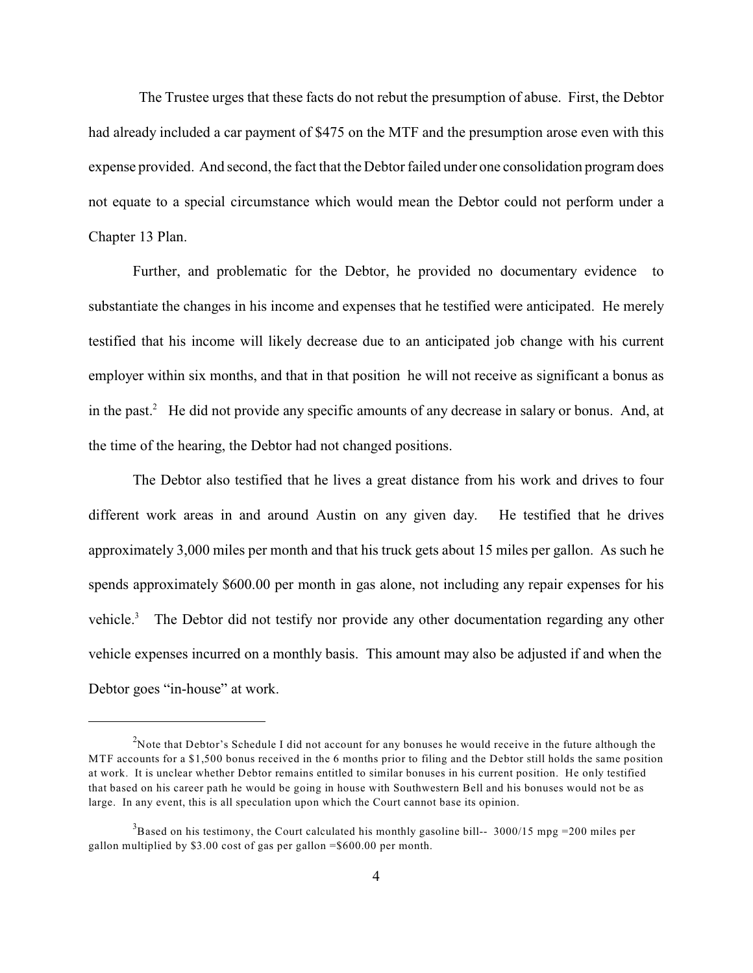The Trustee urges that these facts do not rebut the presumption of abuse. First, the Debtor had already included a car payment of \$475 on the MTF and the presumption arose even with this expense provided. And second, the fact that the Debtor failed under one consolidation program does not equate to a special circumstance which would mean the Debtor could not perform under a Chapter 13 Plan.

Further, and problematic for the Debtor, he provided no documentary evidence to substantiate the changes in his income and expenses that he testified were anticipated. He merely testified that his income will likely decrease due to an anticipated job change with his current employer within six months, and that in that position he will not receive as significant a bonus as in the past. $^2$  He did not provide any specific amounts of any decrease in salary or bonus. And, at the time of the hearing, the Debtor had not changed positions.

The Debtor also testified that he lives a great distance from his work and drives to four different work areas in and around Austin on any given day. He testified that he drives approximately 3,000 miles per month and that his truck gets about 15 miles per gallon. As such he spends approximately \$600.00 per month in gas alone, not including any repair expenses for his vehicle.<sup>3</sup> The Debtor did not testify nor provide any other documentation regarding any other vehicle expenses incurred on a monthly basis. This amount may also be adjusted if and when the Debtor goes "in-house" at work.

<sup>&</sup>lt;sup>2</sup>Note that Debtor's Schedule I did not account for any bonuses he would receive in the future although the MTF accounts for a \$1,500 bonus received in the 6 months prior to filing and the Debtor still holds the same position at work. It is unclear whether Debtor remains entitled to similar bonuses in his current position. He only testified that based on his career path he would be going in house with Southwestern Bell and his bonuses would not be as large. In any event, this is all speculation upon which the Court cannot base its opinion.

 $3$ Based on his testimony, the Court calculated his monthly gasoline bill-- 3000/15 mpg = 200 miles per gallon multiplied by \$3.00 cost of gas per gallon =\$600.00 per month.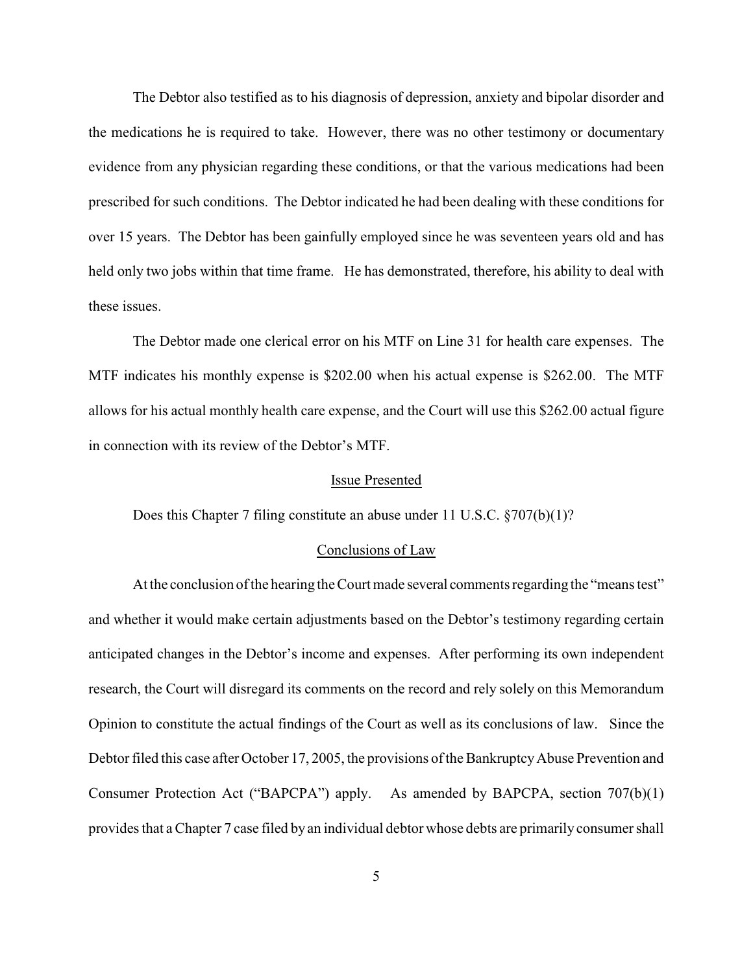The Debtor also testified as to his diagnosis of depression, anxiety and bipolar disorder and the medications he is required to take. However, there was no other testimony or documentary evidence from any physician regarding these conditions, or that the various medications had been prescribed for such conditions. The Debtor indicated he had been dealing with these conditions for over 15 years. The Debtor has been gainfully employed since he was seventeen years old and has held only two jobs within that time frame. He has demonstrated, therefore, his ability to deal with these issues.

The Debtor made one clerical error on his MTF on Line 31 for health care expenses. The MTF indicates his monthly expense is \$202.00 when his actual expense is \$262.00. The MTF allows for his actual monthly health care expense, and the Court will use this \$262.00 actual figure in connection with its review of the Debtor's MTF.

#### Issue Presented

Does this Chapter 7 filing constitute an abuse under 11 U.S.C. §707(b)(1)?

#### Conclusions of Law

At the conclusion of the hearing the Court made several comments regarding the "means test" and whether it would make certain adjustments based on the Debtor's testimony regarding certain anticipated changes in the Debtor's income and expenses. After performing its own independent research, the Court will disregard its comments on the record and rely solely on this Memorandum Opinion to constitute the actual findings of the Court as well as its conclusions of law. Since the Debtor filed this case after October 17, 2005, the provisions of the Bankruptcy Abuse Prevention and Consumer Protection Act ("BAPCPA") apply. As amended by BAPCPA, section 707(b)(1) provides that a Chapter 7 case filed by an individual debtor whose debts are primarily consumer shall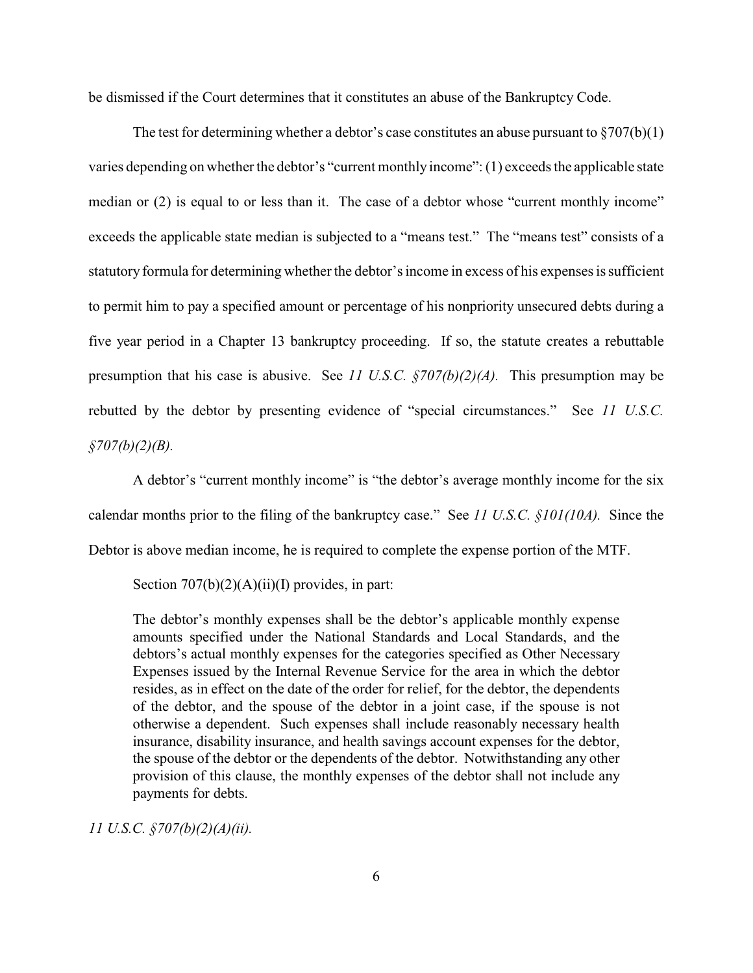be dismissed if the Court determines that it constitutes an abuse of the Bankruptcy Code.

The test for determining whether a debtor's case constitutes an abuse pursuant to  $\S707(b)(1)$ varies depending on whether the debtor's "current monthly income": (1) exceeds the applicable state median or (2) is equal to or less than it. The case of a debtor whose "current monthly income" exceeds the applicable state median is subjected to a "means test." The "means test" consists of a statutory formula for determining whether the debtor's income in excess of his expenses is sufficient to permit him to pay a specified amount or percentage of his nonpriority unsecured debts during a five year period in a Chapter 13 bankruptcy proceeding. If so, the statute creates a rebuttable presumption that his case is abusive. See *11 U.S.C. §707(b)(2)(A).* This presumption may be rebutted by the debtor by presenting evidence of "special circumstances." See *11 U.S.C. §707(b)(2)(B).*

A debtor's "current monthly income" is "the debtor's average monthly income for the six calendar months prior to the filing of the bankruptcy case." See *11 U.S.C. §101(10A).* Since the Debtor is above median income, he is required to complete the expense portion of the MTF.

Section  $707(b)(2)(A)(ii)(I)$  provides, in part:

The debtor's monthly expenses shall be the debtor's applicable monthly expense amounts specified under the National Standards and Local Standards, and the debtors's actual monthly expenses for the categories specified as Other Necessary Expenses issued by the Internal Revenue Service for the area in which the debtor resides, as in effect on the date of the order for relief, for the debtor, the dependents of the debtor, and the spouse of the debtor in a joint case, if the spouse is not otherwise a dependent. Such expenses shall include reasonably necessary health insurance, disability insurance, and health savings account expenses for the debtor, the spouse of the debtor or the dependents of the debtor. Notwithstanding any other provision of this clause, the monthly expenses of the debtor shall not include any payments for debts.

*11 U.S.C. §707(b)(2)(A)(ii).*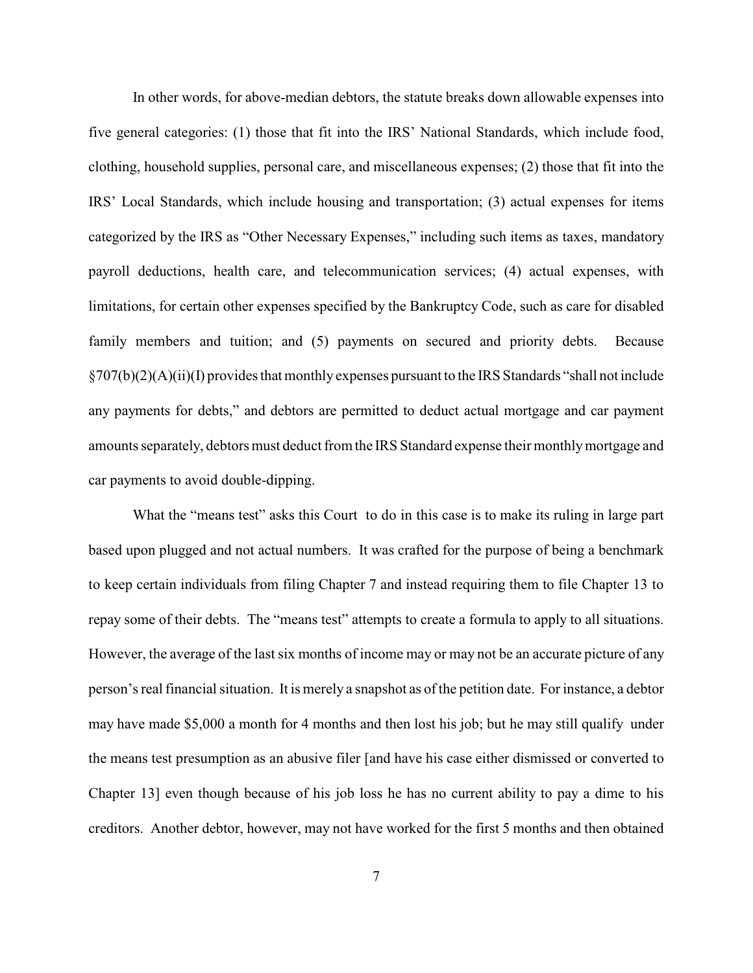In other words, for above-median debtors, the statute breaks down allowable expenses into five general categories: (1) those that fit into the IRS' National Standards, which include food, clothing, household supplies, personal care, and miscellaneous expenses; (2) those that fit into the IRS' Local Standards, which include housing and transportation; (3) actual expenses for items categorized by the IRS as "Other Necessary Expenses," including such items as taxes, mandatory payroll deductions, health care, and telecommunication services; (4) actual expenses, with limitations, for certain other expenses specified by the Bankruptcy Code, such as care for disabled family members and tuition; and (5) payments on secured and priority debts. Because §707(b)(2)(A)(ii)(I) provides that monthly expenses pursuant to the IRS Standards "shall not include any payments for debts," and debtors are permitted to deduct actual mortgage and car payment amounts separately, debtors must deduct from the IRS Standard expense their monthly mortgage and car payments to avoid double-dipping.

What the "means test" asks this Court to do in this case is to make its ruling in large part based upon plugged and not actual numbers. It was crafted for the purpose of being a benchmark to keep certain individuals from filing Chapter 7 and instead requiring them to file Chapter 13 to repay some of their debts. The "means test" attempts to create a formula to apply to all situations. However, the average of the last six months of income may or may not be an accurate picture of any person's real financial situation. It is merely a snapshot as of the petition date. For instance, a debtor may have made \$5,000 a month for 4 months and then lost his job; but he may still qualify under the means test presumption as an abusive filer [and have his case either dismissed or converted to Chapter 13] even though because of his job loss he has no current ability to pay a dime to his creditors. Another debtor, however, may not have worked for the first 5 months and then obtained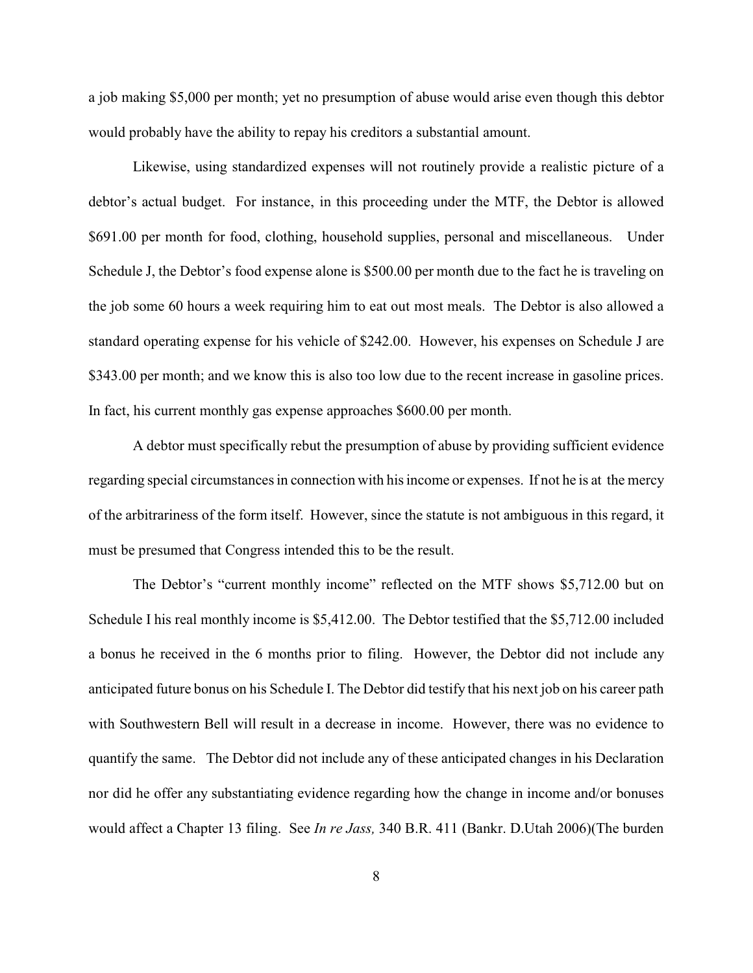a job making \$5,000 per month; yet no presumption of abuse would arise even though this debtor would probably have the ability to repay his creditors a substantial amount.

Likewise, using standardized expenses will not routinely provide a realistic picture of a debtor's actual budget. For instance, in this proceeding under the MTF, the Debtor is allowed \$691.00 per month for food, clothing, household supplies, personal and miscellaneous. Under Schedule J, the Debtor's food expense alone is \$500.00 per month due to the fact he is traveling on the job some 60 hours a week requiring him to eat out most meals. The Debtor is also allowed a standard operating expense for his vehicle of \$242.00. However, his expenses on Schedule J are \$343.00 per month; and we know this is also too low due to the recent increase in gasoline prices. In fact, his current monthly gas expense approaches \$600.00 per month.

A debtor must specifically rebut the presumption of abuse by providing sufficient evidence regarding special circumstances in connection with his income or expenses. If not he is at the mercy of the arbitrariness of the form itself. However, since the statute is not ambiguous in this regard, it must be presumed that Congress intended this to be the result.

The Debtor's "current monthly income" reflected on the MTF shows \$5,712.00 but on Schedule I his real monthly income is \$5,412.00. The Debtor testified that the \$5,712.00 included a bonus he received in the 6 months prior to filing. However, the Debtor did not include any anticipated future bonus on his Schedule I. The Debtor did testify that his next job on his career path with Southwestern Bell will result in a decrease in income. However, there was no evidence to quantify the same. The Debtor did not include any of these anticipated changes in his Declaration nor did he offer any substantiating evidence regarding how the change in income and/or bonuses would affect a Chapter 13 filing. See *In re Jass,* 340 B.R. 411 (Bankr. D.Utah 2006)(The burden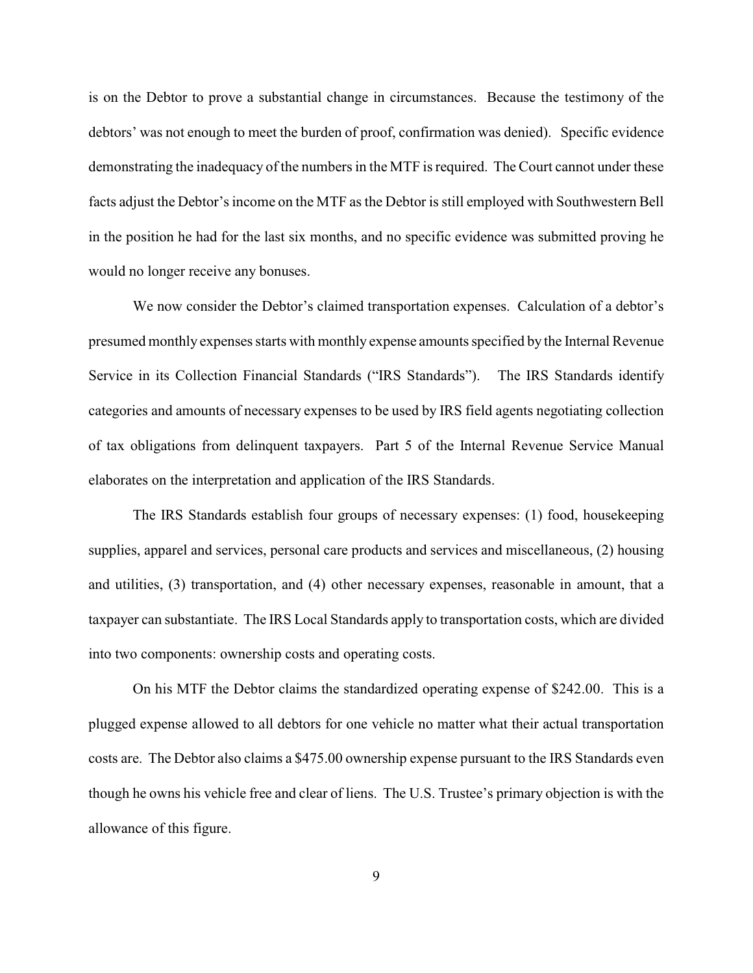is on the Debtor to prove a substantial change in circumstances. Because the testimony of the debtors' was not enough to meet the burden of proof, confirmation was denied). Specific evidence demonstrating the inadequacy of the numbers in the MTF is required. The Court cannot under these facts adjust the Debtor's income on the MTF as the Debtor is still employed with Southwestern Bell in the position he had for the last six months, and no specific evidence was submitted proving he would no longer receive any bonuses.

We now consider the Debtor's claimed transportation expenses. Calculation of a debtor's presumed monthly expenses starts with monthly expense amounts specified by the Internal Revenue Service in its Collection Financial Standards ("IRS Standards"). The IRS Standards identify categories and amounts of necessary expenses to be used by IRS field agents negotiating collection of tax obligations from delinquent taxpayers. Part 5 of the Internal Revenue Service Manual elaborates on the interpretation and application of the IRS Standards.

The IRS Standards establish four groups of necessary expenses: (1) food, housekeeping supplies, apparel and services, personal care products and services and miscellaneous, (2) housing and utilities, (3) transportation, and (4) other necessary expenses, reasonable in amount, that a taxpayer can substantiate. The IRS Local Standards apply to transportation costs, which are divided into two components: ownership costs and operating costs.

On his MTF the Debtor claims the standardized operating expense of \$242.00. This is a plugged expense allowed to all debtors for one vehicle no matter what their actual transportation costs are. The Debtor also claims a \$475.00 ownership expense pursuant to the IRS Standards even though he owns his vehicle free and clear of liens. The U.S. Trustee's primary objection is with the allowance of this figure.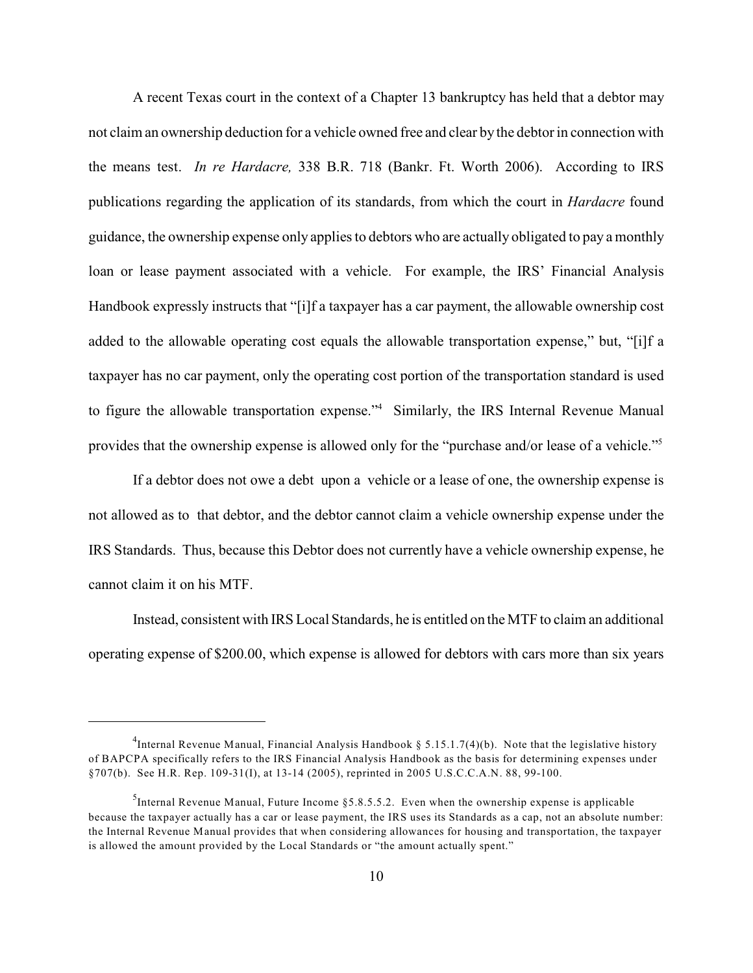A recent Texas court in the context of a Chapter 13 bankruptcy has held that a debtor may not claim an ownership deduction for a vehicle owned free and clear by the debtor in connection with the means test. *In re Hardacre,* 338 B.R. 718 (Bankr. Ft. Worth 2006). According to IRS publications regarding the application of its standards, from which the court in *Hardacre* found guidance, the ownership expense only applies to debtors who are actually obligated to pay a monthly loan or lease payment associated with a vehicle. For example, the IRS' Financial Analysis Handbook expressly instructs that "[i]f a taxpayer has a car payment, the allowable ownership cost added to the allowable operating cost equals the allowable transportation expense," but, "[i]f a taxpayer has no car payment, only the operating cost portion of the transportation standard is used to figure the allowable transportation expense."<sup>4</sup> Similarly, the IRS Internal Revenue Manual provides that the ownership expense is allowed only for the "purchase and/or lease of a vehicle."<sup>5</sup>

If a debtor does not owe a debt upon a vehicle or a lease of one, the ownership expense is not allowed as to that debtor, and the debtor cannot claim a vehicle ownership expense under the IRS Standards. Thus, because this Debtor does not currently have a vehicle ownership expense, he cannot claim it on his MTF.

Instead, consistent with IRS Local Standards, he is entitled on the MTF to claim an additional operating expense of \$200.00, which expense is allowed for debtors with cars more than six years

<sup>&</sup>lt;sup>4</sup>Internal Revenue Manual, Financial Analysis Handbook § 5.15.1.7(4)(b). Note that the legislative history of BAPCPA specifically refers to the IRS Financial Analysis Handbook as the basis for determining expenses under §707(b). See H.R. Rep. 109-31(I), at 13-14 (2005), reprinted in 2005 U.S.C.C.A.N. 88, 99-100.

Internal Revenue Manual, Future Income  $\S 5.8.5.5.2$ . Even when the ownership expense is applicable because the taxpayer actually has a car or lease payment, the IRS uses its Standards as a cap, not an absolute number: the Internal Revenue Manual provides that when considering allowances for housing and transportation, the taxpayer is allowed the amount provided by the Local Standards or "the amount actually spent."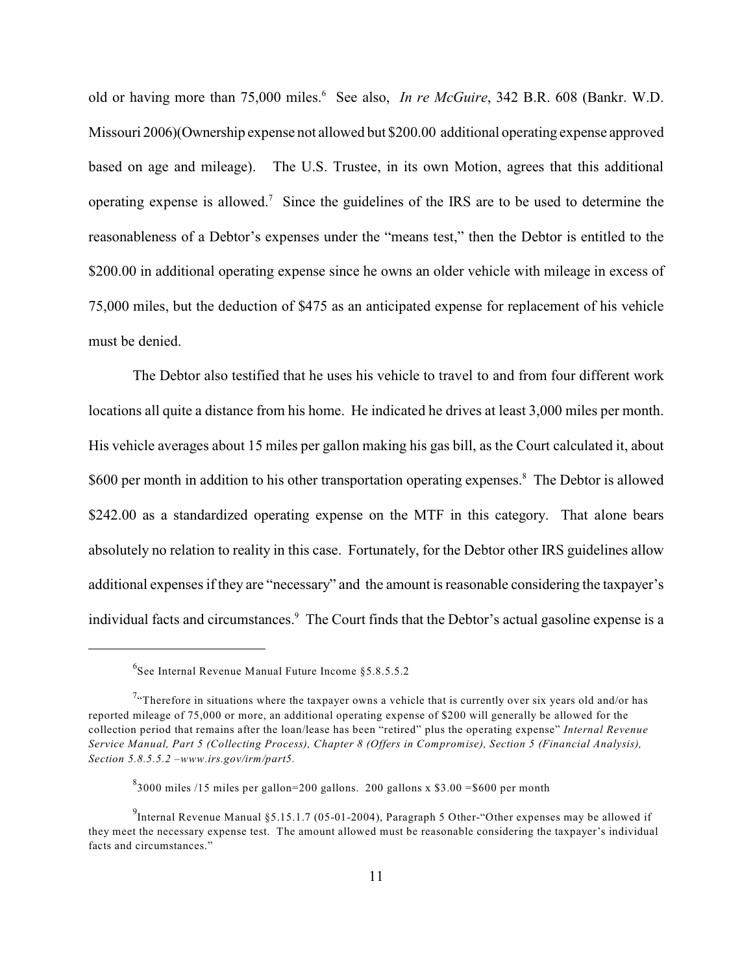old or having more than 75,000 miles.<sup>6</sup> See also, *In re McGuire*, 342 B.R. 608 (Bankr. W.D. Missouri 2006)(Ownership expense not allowed but \$200.00 additional operating expense approved based on age and mileage). The U.S. Trustee, in its own Motion, agrees that this additional operating expense is allowed.<sup>7</sup> Since the guidelines of the IRS are to be used to determine the reasonableness of a Debtor's expenses under the "means test," then the Debtor is entitled to the \$200.00 in additional operating expense since he owns an older vehicle with mileage in excess of 75,000 miles, but the deduction of \$475 as an anticipated expense for replacement of his vehicle must be denied.

The Debtor also testified that he uses his vehicle to travel to and from four different work locations all quite a distance from his home. He indicated he drives at least 3,000 miles per month. His vehicle averages about 15 miles per gallon making his gas bill, as the Court calculated it, about \$600 per month in addition to his other transportation operating expenses.<sup>8</sup> The Debtor is allowed \$242.00 as a standardized operating expense on the MTF in this category. That alone bears absolutely no relation to reality in this case. Fortunately, for the Debtor other IRS guidelines allow additional expenses if they are "necessary" and the amount is reasonable considering the taxpayer's individual facts and circumstances.<sup>9</sup> The Court finds that the Debtor's actual gasoline expense is a

 $6$ See Internal Revenue Manual Future Income  $85.8.5.5.2$ 

<sup>&</sup>lt;sup>7</sup>. Therefore in situations where the taxpayer owns a vehicle that is currently over six years old and/or has reported mileage of 75,000 or more, an additional operating expense of \$200 will generally be allowed for the collection period that remains after the loan/lease has been "retired" plus the operating expense" *Internal Revenue Service Manual, Part 5 (Collecting Process), Chapter 8 (Offers in Compromise), Section 5 (Financial Analysis), Section 5.8.5.5.2 –www.irs.gov/irm/part5.*

 $\frac{8}{3000}$  miles /15 miles per gallon=200 gallons. 200 gallons x \$3.00 = \$600 per month

Internal Revenue Manual §5.15.1.7 (05-01-2004), Paragraph 5 Other-"Other expenses may be allowed if they meet the necessary expense test. The amount allowed must be reasonable considering the taxpayer's individual facts and circumstances."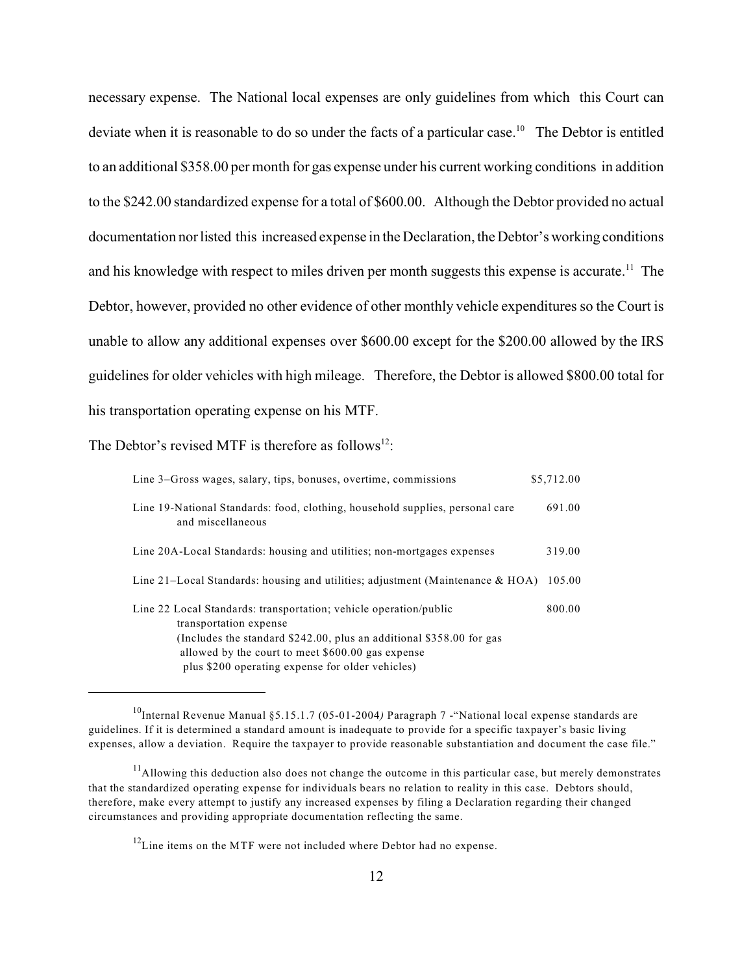necessary expense. The National local expenses are only guidelines from which this Court can deviate when it is reasonable to do so under the facts of a particular case.<sup>10</sup> The Debtor is entitled to an additional \$358.00 per month for gas expense under his current working conditions in addition to the \$242.00 standardized expense for a total of \$600.00. Although the Debtor provided no actual documentation nor listed this increased expense in the Declaration, the Debtor's working conditions and his knowledge with respect to miles driven per month suggests this expense is accurate.<sup>11</sup> The Debtor, however, provided no other evidence of other monthly vehicle expenditures so the Court is unable to allow any additional expenses over \$600.00 except for the \$200.00 allowed by the IRS guidelines for older vehicles with high mileage. Therefore, the Debtor is allowed \$800.00 total for his transportation operating expense on his MTF.

The Debtor's revised MTF is therefore as follows<sup>12</sup>:

| Line 3–Gross wages, salary, tips, bonuses, overtime, commissions                                                                                                                                                            | \$5,712.00 |
|-----------------------------------------------------------------------------------------------------------------------------------------------------------------------------------------------------------------------------|------------|
| Line 19-National Standards: food, clothing, household supplies, personal care<br>and miscellaneous                                                                                                                          | 691.00     |
| Line 20A-Local Standards: housing and utilities; non-mortgages expenses                                                                                                                                                     | 319.00     |
| Line 21–Local Standards: housing and utilities; adjustment (Maintenance $\&$ HOA)                                                                                                                                           | 105.00     |
| Line 22 Local Standards: transportation; vehicle operation/public<br>transportation expense<br>(Includes the standard $$242.00$ , plus an additional $$358.00$ for gas<br>allowed by the court to meet \$600.00 gas expense | 800.00     |
| plus \$200 operating expense for older vehicles)                                                                                                                                                                            |            |

<sup>&</sup>lt;sup>10</sup>Internal Revenue Manual §5.15.1.7 (05-01-2004) Paragraph 7 - "National local expense standards are guidelines. If it is determined a standard amount is inadequate to provide for a specific taxpayer's basic living expenses, allow a deviation. Require the taxpayer to provide reasonable substantiation and document the case file."

 $11$ Allowing this deduction also does not change the outcome in this particular case, but merely demonstrates that the standardized operating expense for individuals bears no relation to reality in this case. Debtors should, therefore, make every attempt to justify any increased expenses by filing a Declaration regarding their changed circumstances and providing appropriate documentation reflecting the same.

 $12$ Line items on the MTF were not included where Debtor had no expense.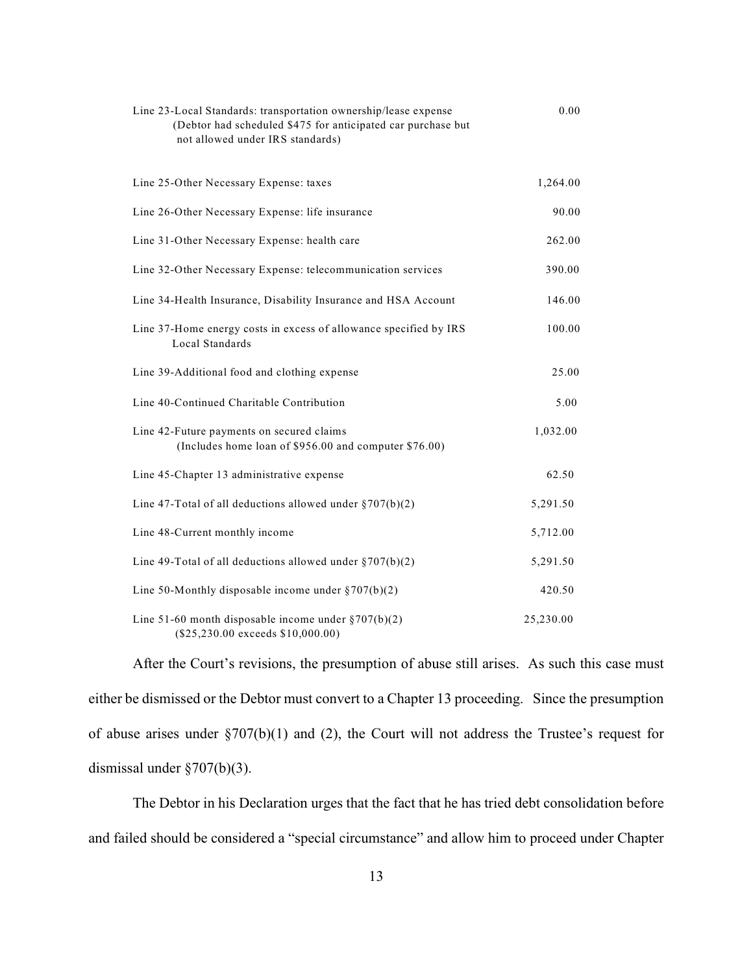| (Debtor had scheduled \$475 for anticipated car purchase but<br>not allowed under IRS standards)   |           |
|----------------------------------------------------------------------------------------------------|-----------|
| Line 25-Other Necessary Expense: taxes                                                             | 1,264.00  |
| Line 26-Other Necessary Expense: life insurance                                                    | 90.00     |
| Line 31-Other Necessary Expense: health care                                                       | 262.00    |
| Line 32-Other Necessary Expense: telecommunication services                                        | 390.00    |
| Line 34-Health Insurance, Disability Insurance and HSA Account                                     | 146.00    |
| Line 37-Home energy costs in excess of allowance specified by IRS<br>Local Standards               | 100.00    |
| Line 39-Additional food and clothing expense                                                       | 25.00     |
| Line 40-Continued Charitable Contribution                                                          | 5.00      |
| Line 42-Future payments on secured claims<br>(Includes home loan of \$956.00 and computer \$76.00) | 1,032.00  |
| Line 45-Chapter 13 administrative expense                                                          | 62.50     |
| Line 47-Total of all deductions allowed under $\S 707(b)(2)$                                       | 5,291.50  |
| Line 48-Current monthly income                                                                     | 5,712.00  |
| Line 49-Total of all deductions allowed under $\S 707(b)(2)$                                       | 5,291.50  |
| Line 50-Monthly disposable income under $\S 707(b)(2)$                                             | 420.50    |
| Line 51-60 month disposable income under $\S 707(b)(2)$<br>$($25,230.00$ exceeds $$10,000.00)$     | 25,230.00 |

Line 23-Local Standards: transportation ownership/lease expense 0.00

After the Court's revisions, the presumption of abuse still arises. As such this case must either be dismissed or the Debtor must convert to a Chapter 13 proceeding. Since the presumption of abuse arises under §707(b)(1) and (2), the Court will not address the Trustee's request for dismissal under §707(b)(3).

The Debtor in his Declaration urges that the fact that he has tried debt consolidation before and failed should be considered a "special circumstance" and allow him to proceed under Chapter